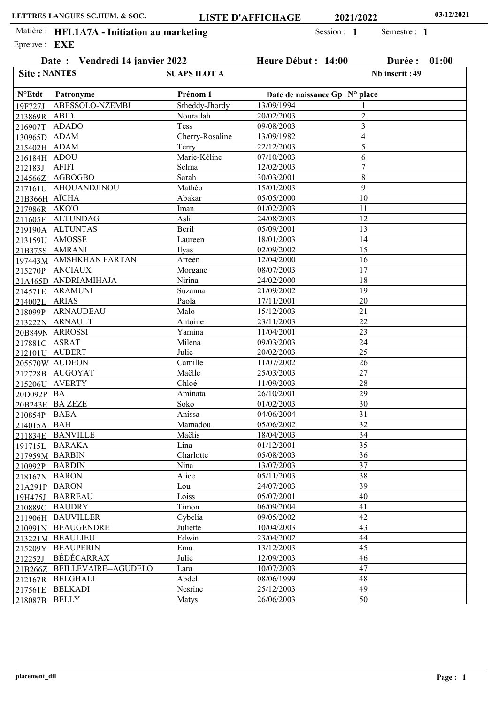|                     | Date: Vendredi 14 janvier 2022 |                     | Heure Début : 14:00           |                         | Durée :        | 01:00 |
|---------------------|--------------------------------|---------------------|-------------------------------|-------------------------|----------------|-------|
| <b>Site: NANTES</b> |                                | <b>SUAPS ILOT A</b> |                               |                         | Nb inscrit: 49 |       |
| $N^{\circ}$ Etdt    | Patronyme                      | Prénom 1            | Date de naissance Gp N° place |                         |                |       |
| 19F727J             | ABESSOLO-NZEMBI                | Stheddy-Jhordy      | 13/09/1994                    | 1                       |                |       |
| 213869R ABID        |                                | Nourallah           | 20/02/2003                    | $\overline{2}$          |                |       |
| 216907T ADADO       |                                | <b>Tess</b>         | 09/08/2003                    | 3                       |                |       |
| 130965D ADAM        |                                | Cherry-Rosaline     | 13/09/1982                    | $\overline{\mathbf{4}}$ |                |       |
| 215402H ADAM        |                                | Terry               | 22/12/2003                    | 5                       |                |       |
| 216184H ADOU        |                                | Marie-Kéline        | 07/10/2003                    | 6                       |                |       |
| 212183J             | <b>AFIFI</b>                   | Selma               | 12/02/2003                    | $\overline{7}$          |                |       |
|                     | 214566Z AGBOGBO                | Sarah               | 30/03/2001                    | 8                       |                |       |
|                     | 217161U AHOUANDJINOU           | Mathéo              | 15/01/2003                    | 9                       |                |       |
| 21B366H AÏCHA       |                                | Abakar              | 05/05/2000                    | 10                      |                |       |
| 217986R AKO'O       |                                | Iman                | 01/02/2003                    | 11                      |                |       |
|                     | 211605F ALTUNDAG               | Asli                | 24/08/2003                    | 12                      |                |       |
|                     | 219190A ALTUNTAS               | Beril               | 05/09/2001                    | 13                      |                |       |
| 213159U AMOSSÉ      |                                | Laureen             | 18/01/2003                    | 14                      |                |       |
|                     | 21B375S AMRANI                 | Ilyas               | 02/09/2002                    | 15                      |                |       |
|                     | 197443M_AMSHKHAN FARTAN        | Arteen              | 12/04/2000                    | 16                      |                |       |
|                     | 215270P_ANCIAUX                | Morgane             | 08/07/2003                    | 17                      |                |       |
|                     | 21A465D ANDRIAMIHAJA           | Nirina              | 24/02/2000                    | 18                      |                |       |
|                     | 214571E_ARAMUNI                | Suzanna             | 21/09/2002                    | 19                      |                |       |
| 214002L ARIAS       |                                | Paola               | 17/11/2001                    | 20                      |                |       |
|                     | 218099P ARNAUDEAU              | Malo                | 15/12/2003                    | 21                      |                |       |
|                     | 213222N ARNAULT                | Antoine             | 23/11/2003                    | 22                      |                |       |
|                     | 20B849N ARROSSI                | Yamina              | 11/04/2001                    | 23                      |                |       |
| 217881C ASRAT       |                                | Milena              | 09/03/2003                    | 24                      |                |       |
|                     | 212101U AUBERT                 | Julie               | 20/02/2003                    | 25                      |                |       |
|                     | 205570W AUDEON                 | Camille             | 11/07/2002                    | 26                      |                |       |
|                     | 212728B AUGOYAT                | Maëlle              | 25/03/2003                    | 27                      |                |       |
|                     | 215206U_AVERTY                 | Chloé               | 11/09/2003                    | 28                      |                |       |
| 20D092P BA          |                                | Aminata             | 26/10/2001                    | 29                      |                |       |
|                     | 20B243E BAZEZE                 | Soko                | 01/02/2003                    | 30                      |                |       |
| 210854P BABA        |                                | Anissa              | 04/06/2004                    | 31                      |                |       |
| 214015A BAH         |                                | Mamadou             | 05/06/2002                    | $\overline{32}$         |                |       |
|                     | 211834E BANVILLE               | Maëlis              | 18/04/2003                    | 34                      |                |       |
|                     | 191715L BARAKA                 | Lina                | 01/12/2001                    | 35                      |                |       |
| 217959M BARBIN      |                                | Charlotte           | 05/08/2003                    | 36                      |                |       |
| 210992P BARDIN      |                                | Nina                | 13/07/2003                    | 37                      |                |       |
|                     |                                | Alice               | 05/11/2003                    | 38                      |                |       |
| 218167N BARON       |                                | Lou                 | 24/07/2003                    | 39                      |                |       |
| 21A291P BARON       |                                | Loiss               | 05/07/2001                    | 40                      |                |       |
|                     | 19H475J BARREAU                |                     |                               |                         |                |       |
|                     | 210889C BAUDRY                 | Timon<br>Cybelia    | 06/09/2004                    | 41<br>42                |                |       |
|                     | 211906H BAUVILLER              |                     | 09/05/2002                    |                         |                |       |
|                     | 210991N BEAUGENDRE             | Juliette            | 10/04/2003                    | 43                      |                |       |
|                     | 213221M BEAULIEU               | Edwin               | 23/04/2002                    | 44                      |                |       |
|                     | 215209Y BEAUPERIN              | Ema                 | 13/12/2003                    | 45                      |                |       |
| 212252J             | BÉDÉCARRAX                     | Julie               | 12/09/2003                    | 46                      |                |       |
|                     | 21B266Z BEILLEVAIRE--AGUDELO   | Lara                | 10/07/2003                    | 47                      |                |       |
|                     | 212167R BELGHALI               | Abdel               | 08/06/1999                    | 48                      |                |       |
|                     | 217561E BELKADI                | Nesrine             | 25/12/2003                    | 49                      |                |       |
| 218087B BELLY       |                                | Matys               | 26/06/2003                    | 50                      |                |       |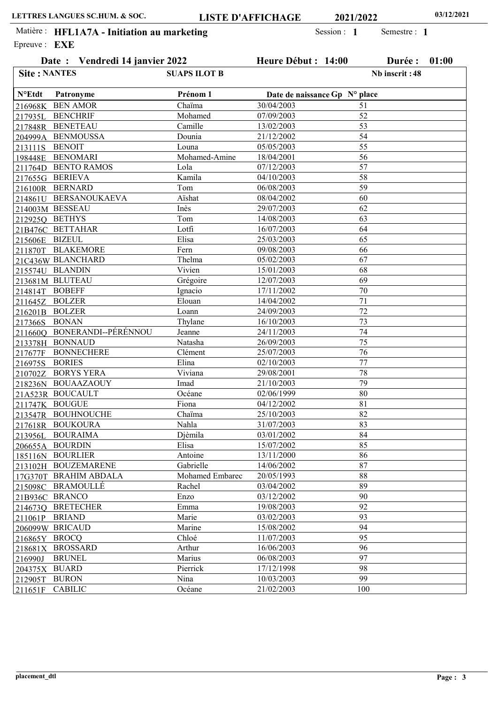|                     | Date: Vendredi 14 janvier 2022 |                     | Heure Début : 14:00 |                               | Durée :        | 01:00 |
|---------------------|--------------------------------|---------------------|---------------------|-------------------------------|----------------|-------|
| <b>Site: NANTES</b> |                                | <b>SUAPS ILOT B</b> |                     |                               | Nb inscrit: 48 |       |
| $N^{\circ}$ Etdt    | Patronyme                      | Prénom 1            |                     | Date de naissance Gp N° place |                |       |
|                     | 216968K BEN AMOR               | Chaïma              | 30/04/2003          | 51                            |                |       |
|                     | 217935L BENCHRIF               | Mohamed             | 07/09/2003          | 52                            |                |       |
|                     | 217848R BENETEAU               | Camille             | 13/02/2003          | 53                            |                |       |
|                     | 204999A BENMOUSSA              | Dounia              | 21/12/2002          | 54                            |                |       |
| 213111S             | <b>BENOIT</b>                  | Louna               | 05/05/2003          | 55                            |                |       |
|                     | 198448E BENOMARI               | Mohamed-Amine       | 18/04/2001          | 56                            |                |       |
|                     | 211764D BENTO RAMOS            | Lola                | 07/12/2003          | 57                            |                |       |
|                     | 217655G_BERIEVA                | Kamila              | 04/10/2003          | 58                            |                |       |
|                     | 216100R BERNARD                | Tom                 | 06/08/2003          | 59                            |                |       |
|                     | 214861U BERSANOUKAEVA          | Aishat              | 08/04/2002          | 60                            |                |       |
|                     | 214003M BESSEAU                | Inès                | 29/07/2003          | 62                            |                |       |
|                     | 212925Q BETHYS                 | Tom                 | 14/08/2003          | 63                            |                |       |
|                     | 21B476C_BETTAHAR               | Lotfi               | 16/07/2003          | 64                            |                |       |
| 215606E BIZEUL      |                                | Elisa               | 25/03/2003          | 65                            |                |       |
|                     | 211870T BLAKEMORE              | Fern                | 09/08/2003          | 66                            |                |       |
|                     | 21C436W_BLANCHARD              | Thelma              | 05/02/2003          | 67                            |                |       |
|                     | 215574U BLANDIN                | Vivien              | 15/01/2003          | 68                            |                |       |
|                     | 213681M BLUTEAU                | Grégoire            | 12/07/2003          | 69                            |                |       |
| 214814T BOBEFF      |                                | Ignacio             | 17/11/2002          | 70                            |                |       |
|                     | 211645Z BOLZER                 | Elouan              | 14/04/2002          | 71                            |                |       |
|                     | 216201B BOLZER                 | Loann               | 24/09/2003          | 72                            |                |       |
| 217366S BONAN       |                                | Thylane             | 16/10/2003          | 73                            |                |       |
|                     | 2116600 BONERANDI--PÉRÉNNOU    | Jeanne              | 24/11/2003          | 74                            |                |       |
|                     | 213378H BONNAUD                | Natasha             | 26/09/2003          | 75                            |                |       |
| 217677F             | <b>BONNECHERE</b>              | Clément             | 25/07/2003          | 76                            |                |       |
| 216975S             | <b>BORIES</b>                  | Elina               | 02/10/2003          | 77                            |                |       |
|                     | 210702Z BORYS YERA             | Viviana             | 29/08/2001          | 78                            |                |       |
|                     | 218236N BOUAAZAOUY             | Imad                | 21/10/2003          | 79                            |                |       |
|                     | 21A523R BOUCAULT               | Océane              | 02/06/1999          | 80                            |                |       |
|                     | 211747K BOUGUE                 | Fiona               | 04/12/2002          | 81                            |                |       |
|                     | 213547R BOUHNOUCHE             | Chaïma              | 25/10/2003          | 82                            |                |       |
|                     | 217618R BOUKOURA               | Nahla               | 31/07/2003          | 83                            |                |       |
|                     | 213956L BOURAIMA               | Djèmila             | 03/01/2002          | 84                            |                |       |
|                     | 206655A BOURDIN                | Elisa               | 15/07/2002          | 85                            |                |       |
|                     | 185116N BOURLIER               | Antoine             | 13/11/2000          | 86                            |                |       |
|                     | 213102H BOUZEMARENE            | Gabrielle           | 14/06/2002          | 87                            |                |       |
|                     | 17G370T BRAHIM ABDALA          | Mohamed Embarec     | 20/05/1993          | 88                            |                |       |
|                     | 215098C BRAMOULLE              | Rachel              | 03/04/2002          | 89                            |                |       |
|                     | 21B936C BRANCO                 | Enzo                | 03/12/2002          | 90                            |                |       |
|                     | 2146730 BRETECHER              | Emma                | 19/08/2003          | 92                            |                |       |
|                     | 211061P BRIAND                 | Marie               | 03/02/2003          | 93                            |                |       |
|                     | 206099W BRICAUD                | Marine              | 15/08/2002          | 94                            |                |       |
| 216865Y BROCQ       |                                | Chloé               | 11/07/2003          | 95                            |                |       |
|                     | 218681X BROSSARD               | Arthur              | 16/06/2003          | 96                            |                |       |
| 216990J             | <b>BRUNEL</b>                  | Marius              | 06/08/2003          | 97                            |                |       |
| 204375X BUARD       |                                | Pierrick            | 17/12/1998          | 98                            |                |       |
| 212905T             | <b>BURON</b>                   | Nina                | 10/03/2003          | 99                            |                |       |
| 211651F             | <b>CABILIC</b>                 | Océane              | 21/02/2003          | 100                           |                |       |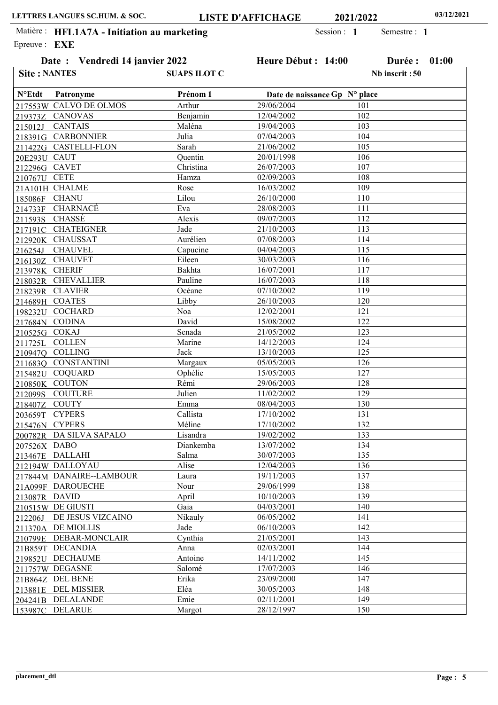Date : Vendredi 14 janvier 2022 Heure Début : 14:00 Durée : 01:00

Semestre : 1

Epreuve : **EXE** Matière : HFL1A7A - Initiation au marketing Session : 1

Date de naissance Gp N° place 217553W CALVO DE OLMOS 219373Z CANOVAS CANTAIS 218391G CARBONNIER 211422G CASTELLI-FLON 20E293U CAUT 212296G CAVET **CETE** 21A101H CHALME **CHANU** CHARNACÉ CHASSÉ **CHATEIGNER** CHAUSSAT CHAUVEL CHAUVET CHERIF CHEVALLIER CLAVIER 214689H COATES 198232U COCHARD 217684N CODINA 210525G COKAJ **COLLEN** COLLING CONSTANTINI 215482U COQUARD **COUTON COUTURE COUTY CYPERS** 215476N CYPERS DA SILVA SAPALO 200782R 207526X DABO DALLAHI 212194W DALLOYAU 217844M DANAIRE--LAMBOUR 21A099F DAROUECHE 213087R DAVID 210515W DE GIUSTI DE JESUS VIZCAINO DE MIOLLIS DEBAR-MONCLAIR DECANDIA DECHAUME DEGASNE DEL BENE DEL MISSIER DELALANDE DELARUE Patronyme Arthur Benjamin Maléna Julia Sarah Quentin Christina Hamza Rose Lilou Eva Alexis Jade Aurélien Capucine Eileen Bakhta Pauline Océane Libby Noa David Senada Marine Jack Margaux Ophélie Rémi Julien Emma Callista Méline Lisandra Diankemba Salma Alise Laura Nour April Gaia Nikauly Jade Cynthia Anna Antoine Salomé Erika Eléa Emie Margot Prénom 1 29/06/2004 12/04/2002 19/04/2003 07/04/2003 21/06/2002 20/01/1998 26/07/2003 02/09/2003 16/03/2002 26/10/2000 28/08/2003 09/07/2003 21/10/2003 07/08/2003 04/04/2003 30/03/2003 16/07/2001 16/07/2003 07/10/2002 26/10/2003 12/02/2001 15/08/2002 21/05/2002 14/12/2003 13/10/2003 05/05/2003 15/05/2003 29/06/2003 11/02/2002 08/04/2003 17/10/2002 17/10/2002 19/02/2002 13/07/2002 30/07/2003 12/04/2003 19/11/2003 29/06/1999 10/10/2003 04/03/2001 06/05/2002 06/10/2003 21/05/2001 02/03/2001 14/11/2002 17/07/2003 23/09/2000 30/05/2003 02/11/2001 28/12/1997 215012J 210767U 185086F 214733F 211593S 217191C 212920K 216254J 216130Z 213978K 218032R 218239R 211725L 210947Q 211683Q 210850K 212099S 218407Z 203659T 213467E 212206J 211370A 210799E 21B859T 219852U 211757W 21B864Z 213881E 204241B 153987C N°Etdt 101 102 103 104 105 106 107 108 109 110 111 112 113 114 115 116 117 118 119 120 121 122 123 124 125 126 127 128 129 130 131 132 133 134 135 136 137 138 139 140 141 142 143 144 145 146 147 148 149 150 Site : NANTES SUAPS ILOT C Nb inscrit :50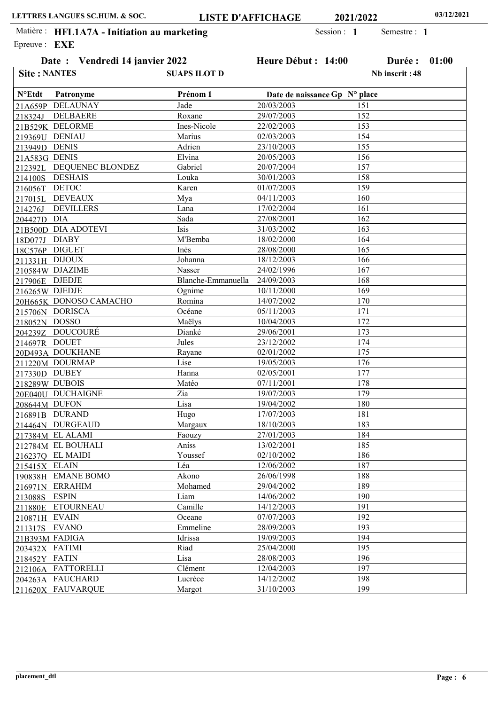| ________ |                                |                     |                      |  |
|----------|--------------------------------|---------------------|----------------------|--|
|          | Date: Vendredi 14 janvier 2022 | Heure Début : 14:00 | <b>Durée : 01:00</b> |  |
| e: EXE   |                                |                     |                      |  |

| <b>Site: NANTES</b> |                          | <b>SUAPS ILOT D</b> |                               | Nb inscrit: 48 |
|---------------------|--------------------------|---------------------|-------------------------------|----------------|
| <b>N°Etdt</b>       | Patronyme                | Prénom 1            | Date de naissance Gp N° place |                |
|                     | 21A659P DELAUNAY         | Jade                | 20/03/2003                    | 151            |
| 218324J             | <b>DELBAERE</b>          | Roxane              | 29/07/2003                    | 152            |
|                     | 21B529K DELORME          | Ines-Nicole         | 22/02/2003                    | 153            |
| 219369U DENIAU      |                          | Marius              | 02/03/2003                    | 154            |
| 213949D DENIS       |                          | Adrien              | 23/10/2003                    | 155            |
| 21A583G DENIS       |                          | Elvina              | 20/05/2003                    | 156            |
|                     | 212392L DEQUENEC BLONDEZ | Gabriel             | 20/07/2004                    | 157            |
|                     | 214100S DESHAIS          | Louka               | 30/01/2003                    | 158            |
| 216056T DETOC       |                          | Karen               | 01/07/2003                    | 159            |
|                     | 217015L DEVEAUX          | Mya                 | 04/11/2003                    | 160            |
| 214276J             | <b>DEVILLERS</b>         | Lana                | 17/02/2004                    | 161            |
| 204427D DIA         |                          | Sada                | 27/08/2001                    | 162            |
|                     | 21B500D DIA ADOTEVI      | Isis                | 31/03/2002                    | 163            |
| 18D077J DIABY       |                          | M'Bemba             | 18/02/2000                    | 164            |
| 18C576P DIGUET      |                          | Inès                | 28/08/2000                    | 165            |
| 211331H DIJOUX      |                          | Johanna             | 18/12/2003                    | 166            |
|                     | 210584W DJAZIME          | Nasser              | 24/02/1996                    | 167            |
| 217906E DJEDJE      |                          | Blanche-Emmanuella  | 24/09/2003                    | 168            |
| 216265W DJEDJE      |                          | Ognime              | 10/11/2000                    | 169            |
|                     | 20H665K DONOSO CAMACHO   | Romina              | 14/07/2002                    | 170            |
|                     | 215706N DORISCA          | Océane              | 05/11/2003                    | 171            |
| 218052N DOSSO       |                          | Maëlys              | 10/04/2003                    | 172            |
|                     | 204239Z DOUCOURÉ         | Dianké              | 29/06/2001                    | 173            |
| 214697R DOUET       |                          | Jules               | 23/12/2002                    | 174            |
|                     | 20D493A DOUKHANE         | Rayane              | 02/01/2002                    | 175            |
|                     | 211220M DOURMAP          | Lise                | 19/05/2003                    | 176            |
| 217330D DUBEY       |                          | Hanna               | 02/05/2001                    | 177            |
| 218289W DUBOIS      |                          | Matéo               | 07/11/2001                    | 178            |
|                     | 20E040U DUCHAIGNE        | Zia                 | 19/07/2003                    | 179            |
| 208644M DUFON       |                          | Lisa                | 19/04/2002                    | 180            |
|                     | 216891B DURAND           | Hugo                | 17/07/2003                    | 181            |
|                     | 214464N DURGEAUD         | Margaux             | 18/10/2003                    | 183            |
|                     | 217384M EL ALAMI         | Faouzy              | 27/01/2003                    | 184            |
|                     | 212784M EL BOUHALI       | Aniss               | 13/02/2001                    | 185            |
|                     | 2162370 EL MAIDI         | Youssef             | 02/10/2002                    | 186            |
| 215415X ELAIN       |                          | Léa                 | 12/06/2002                    | 187            |
|                     | 190838H EMANE BOMO       | Akono               | 26/06/1998                    | 188            |
|                     | 216971N ERRAHIM          | Mohamed             | 29/04/2002                    | 189            |
| 213088S ESPIN       |                          | Liam                | 14/06/2002                    | 190            |
|                     | 211880E ETOURNEAU        | Camille             | 14/12/2003                    | 191            |
| 210871H EVAIN       |                          | Oceane              | 07/07/2003                    | 192            |
| 211317S EVANO       |                          | Emmeline            | 28/09/2003                    | 193            |
| 21B393M FADIGA      |                          | Idrissa             | 19/09/2003                    | 194            |
| 203432X FATIMI      |                          | Riad                | 25/04/2000                    | 195            |
| 218452Y FATIN       |                          | Lisa                | 28/08/2003                    | 196            |
|                     | 212106A FATTORELLI       | Clément             | 12/04/2003                    | 197            |
|                     | 204263A FAUCHARD         | Lucrèce             | 14/12/2002                    | 198            |
|                     | 211620X FAUVARQUE        | Margot              | 31/10/2003                    | 199            |
|                     |                          |                     |                               |                |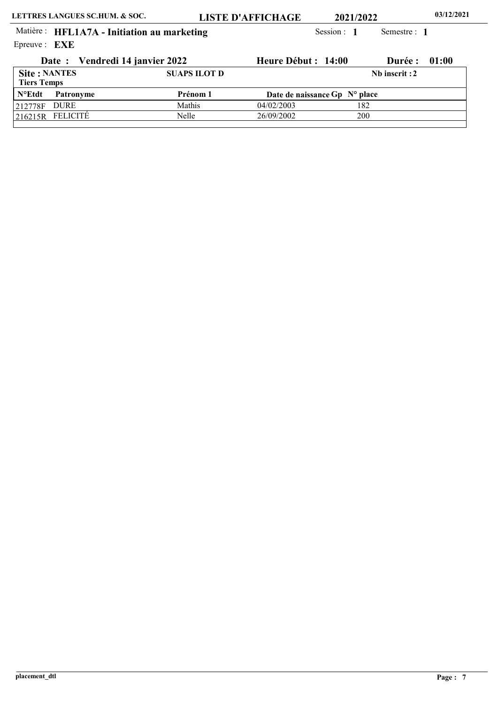<u>216215R FELICITÉ</u>

26/09/2002

200

Nelle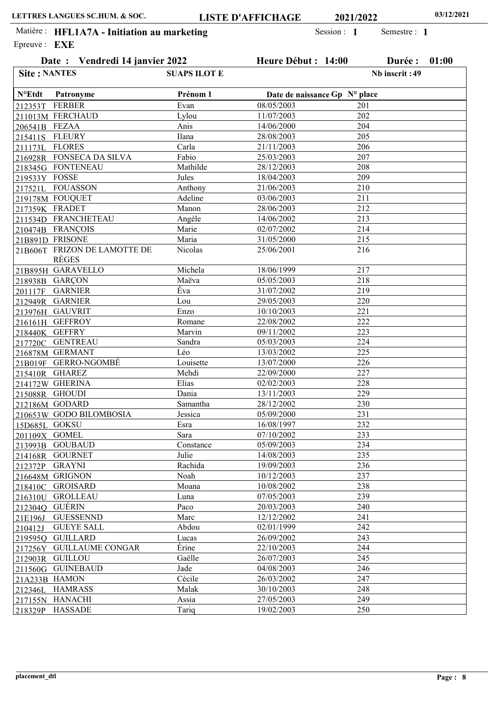212353T FERBER 211013M FERCHAUD 206541B FEZAA

Site : NANTES

215411S 211173L

N°Etdt

FLEURY FLORES FONSECA DA SILVA 216928R

Patronyme

218345G FONTENEAU

Epreuve : **EXE** Matière : HFL1A7A - Initiation au marketing Session : 1

Date : Vendredi 14 janvier

| 2022           | Heure Début : 14:00           | 01:00<br>Durée : |
|----------------|-------------------------------|------------------|
| SUAPS ILOT E   |                               | Nb inscrit: 49   |
| Prénom 1       | Date de naissance Gp N° place |                  |
| Evan           | 08/05/2003                    | 201              |
| Lylou          | 11/07/2003                    | 202              |
| Anis           | 14/06/2000                    | 204              |
| Ilana          | 28/08/2003                    | 205              |
| Carla          | 21/11/2003                    | 206              |
| Fabio          | 25/03/2003                    | 207              |
| Mathilde       | 28/12/2003                    | 208              |
| Jules          | 18/04/2003                    | 209              |
| Anthony        | 21/06/2003                    | 210              |
| Adeline        | 03/06/2003                    | 211              |
| Manon          | 28/06/2003                    | 212              |
| Angèle         | 14/06/2002                    | 213              |
| Marie          | 02/07/2002                    | 214              |
| Maria          | 31/05/2000                    | 215              |
| <b>Nicolas</b> | 25/06/2001                    | 216              |
|                |                               |                  |

| 219533Y FOSSE          |                                              | Jules     | 18/04/2003               | 209 |
|------------------------|----------------------------------------------|-----------|--------------------------|-----|
|                        | 217521L FOUASSON                             | Anthony   | 21/06/2003               | 210 |
|                        | 219178M FOUQUET                              | Adeline   | 03/06/2003               | 211 |
| 217359K FRADET         |                                              | Manon     | 28/06/2003               | 212 |
|                        | 211534D FRANCHETEAU                          | Angèle    | 14/06/2002               | 213 |
|                        | 210474B FRANÇOIS                             | Marie     | 02/07/2002               | 214 |
|                        | 21B891D FRISONE                              | Maria     | 31/05/2000               | 215 |
|                        | 21B606T FRIZON DE LAMOTTE DE<br><b>RÈGES</b> | Nicolas   | 25/06/2001               | 216 |
|                        |                                              |           |                          |     |
|                        | 21B895H GARAVELLO                            | Michela   | 18/06/1999<br>05/05/2003 | 217 |
|                        | 218938B GARÇON                               | Maëva     |                          | 218 |
|                        | 201117F GARNIER                              | Éva       | 31/07/2002               | 219 |
|                        | 212949R GARNIER                              | Lou       | 29/05/2003               | 220 |
|                        | 213976H_GAUVRIT                              | Enzo      | 10/10/2003               | 221 |
|                        | 216161H GEFFROY                              | Romane    | 22/08/2002               | 222 |
| 218440K GEFFRY         |                                              | Marvin    | 09/11/2002               | 223 |
|                        | 217720C GENTREAU                             | Sandra    | 05/03/2003               | 224 |
|                        | 216878M GERMANT                              | Léo       | 13/03/2002               | 225 |
|                        | 21B019F GERRO-NGOMBÉ                         | Louisette | 13/07/2000               | 226 |
|                        | 215410R GHAREZ                               | Mehdi     | 22/09/2000               | 227 |
|                        | 214172W GHERINA                              | Elias     | 02/02/2003               | 228 |
|                        | 215088R GHOUDI                               | Dania     | 13/11/2003               | 229 |
|                        | 212186M GODARD                               | Samantha  | 28/12/2002               | 230 |
|                        | 210653W GODO BILOMBOSIA                      | Jessica   | 05/09/2000               | 231 |
| 15D685L GOKSU          |                                              | Esra      | 16/08/1997               | 232 |
| 201109X GOMEL          |                                              | Sara      | 07/10/2002               | 233 |
|                        | 213993B GOUBAUD                              | Constance | 05/09/2003               | 234 |
|                        | 214168R GOURNET                              | Julie     | 14/08/2003               | 235 |
|                        | 212372P GRAYNI                               | Rachida   | 19/09/2003               | 236 |
|                        | 216648M GRIGNON                              | Noah      | 10/12/2003               | 237 |
|                        | 218410C GROISARD                             | Moana     | 10/08/2002               | 238 |
|                        | 216310U GROLLEAU                             | Luna      | 07/05/2003               | 239 |
| <u> 2123040</u> GUÉRIN |                                              | Paco      | 20/03/2003               | 240 |
|                        | 21E196J GUESSENND                            | Marc      | 12/12/2002               | 241 |
| 210412J                | <b>GUEYE SALL</b>                            | Abdou     | 02/01/1999               | 242 |
|                        | 2195950 GUILLARD                             | Lucas     | 26/09/2002               | 243 |
|                        | 217256Y GUILLAUME CONGAR                     | Érine     | 22/10/2003               | 244 |
|                        | 212903R GUILLOU                              | Gaëlle    | 26/07/2003               | 245 |
|                        | 211560G GUINEBAUD                            | Jade      | 04/08/2003               | 246 |
| 21A233B HAMON          |                                              | Cécile    | 26/03/2002               | 247 |
|                        | 212346L HAMRASS                              | Malak     | 30/10/2003               | 248 |
|                        | 217155N HANACHI                              | Assia     | 27/05/2003               | 249 |
|                        | 218329P HASSADE                              | Tariq     | 19/02/2003               | 250 |
|                        |                                              |           |                          |     |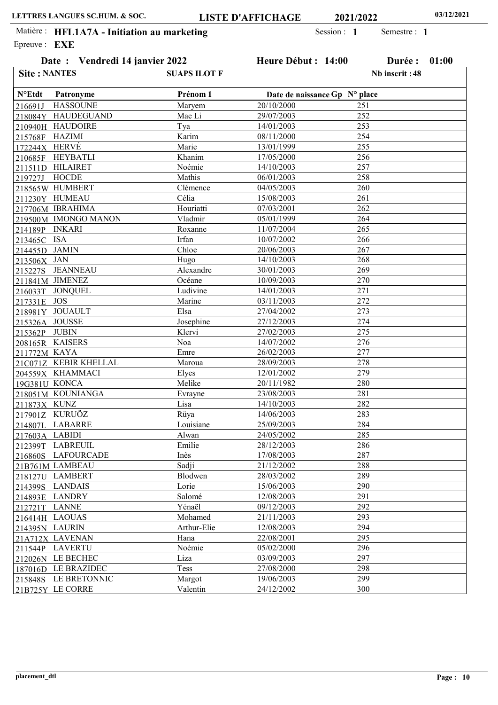Date : Vendredi 14 janvier 2022 Heure Début : 14:00 Durée : 01:00

Semestre : 1

Epreuve : **EXE** Matière : HFL1A7A - Initiation au marketing Session : 1

| <b>Site: NANTES</b>   |                       | <b>SUAPS ILOT F</b> |                               | Nb inscrit: 48 |
|-----------------------|-----------------------|---------------------|-------------------------------|----------------|
| $N^{\circ}$ Etdt      | Patronyme             | Prénom 1            | Date de naissance Gp N° place |                |
| 216691J               | <b>HASSOUNE</b>       | Maryem              | 20/10/2000                    | 251            |
|                       | 218084Y HAUDEGUAND    | Mae Li              | 29/07/2003                    | 252            |
|                       | 210940H HAUDOIRE      | Tya                 | 14/01/2003                    | 253            |
| 215768F HAZIMI        |                       | Karim               | 08/11/2000                    | 254            |
| <u>172244</u> X HERVÉ |                       | Marie               | 13/01/1999                    | 255            |
|                       | 210685F HEYBATLI      | Khanim              | 17/05/2000                    | 256            |
|                       | 211511D HILAIRET      | Noémie              | 14/10/2003                    | 257            |
| 219727J HOCDE         |                       | Mathis              | 06/01/2003                    | 258            |
|                       | 218565W HUMBERT       | Clémence            | 04/05/2003                    | 260            |
|                       | 211230Y HUMEAU        | Célia               | 15/08/2003                    | 261            |
|                       | 217706M IBRAHIMA      | Houriatti           | 07/03/2001                    | 262            |
|                       | 219500M IMONGO MANON  | Vladmir             | 05/01/1999                    | 264            |
| 214189P INKARI        |                       | Roxanne             | 11/07/2004                    | 265            |
| 213465C ISA           |                       | Irfan               | 10/07/2002                    | 266            |
| 214455D JAMIN         |                       | Chloe               | 20/06/2003                    | 267            |
| 213506X JAN           |                       | Hugo                | 14/10/2003                    | 268            |
|                       | 215227S JEANNEAU      | Alexandre           | 30/01/2003                    | 269            |
|                       | 211841M JIMENEZ       | Océane              | 10/09/2003                    | 270            |
|                       | 216033T JONQUEL       | Ludivine            | 14/01/2003                    | 271            |
| 217331E JOS           |                       | Marine              | 03/11/2003                    | 272            |
|                       | 218981Y_JOUAULT       | Elsa                | 27/04/2002                    | 273            |
| 215326A_JOUSSE        |                       | Josephine           | 27/12/2003                    | 274            |
| 215362P JUBIN         |                       | Klervi              | 27/02/2003                    | 275            |
|                       | 208165R KAISERS       | Noa                 | 14/07/2002                    | 276            |
| 211772M KAYA          |                       | Emre                | 26/02/2003                    | 277            |
|                       | 21C071Z KEBIR KHELLAL | Maroua              | 28/09/2003                    | 278            |
|                       | 204559X KHAMMACI      | Elyes               | 12/01/2002                    | 279            |
| 19G381U KONCA         |                       | Melike              | 20/11/1982                    | 280            |
|                       | 218051M KOUNIANGA     | Evrayne             | 23/08/2003                    | 281            |
| 211873X KUNZ          |                       | Lisa                | 14/10/2003                    | 282            |
|                       | 217901Z KURUÖZ        | Rüya                | 14/06/2003                    | 283            |
|                       | 214807L LABARRE       | Louisiane           | 25/09/2003                    | 284            |
| 217603A LABIDI        |                       | Alwan               | 24/05/2002                    | 285            |
|                       | 212399T LABREUIL      | Emilie              | 28/12/2003                    | 286            |
|                       | 216860S LAFOURCADE    | Inès                | 17/08/2003                    | 287            |
|                       | 21B761M LAMBEAU       | Sadji               | 21/12/2002                    | 288            |
|                       | 218127U LAMBERT       | Blodwen             | 28/03/2002                    | 289            |
|                       | 214399S LANDAIS       | Lorie               | 15/06/2003                    | 290            |
|                       | 214893E LANDRY        | Salomé              | 12/08/2003                    | 291            |
| 212721T LANNE         |                       | Yénaël              | 09/12/2003                    | 292            |
| 216414H_LAOUAS        |                       | Mohamed             | 21/11/2003                    | 293            |
| 214395N LAURIN        |                       | Arthur-Elie         | 12/08/2003                    | 294            |
|                       | 21A712X LAVENAN       | Hana                | 22/08/2001                    | 295            |
|                       | 211544P LAVERTU       | Noémie              | 05/02/2000                    | 296            |
|                       | 212026N LE BECHEC     | Liza                | 03/09/2003                    | 297            |
|                       | 187016D LE BRAZIDEC   | Tess                | 27/08/2000                    | 298            |
|                       | 215848S LE BRETONNIC  | Margot              | 19/06/2003                    | 299            |
|                       | 21B725Y LE CORRE      | Valentin            | 24/12/2002                    | 300            |
|                       |                       |                     |                               |                |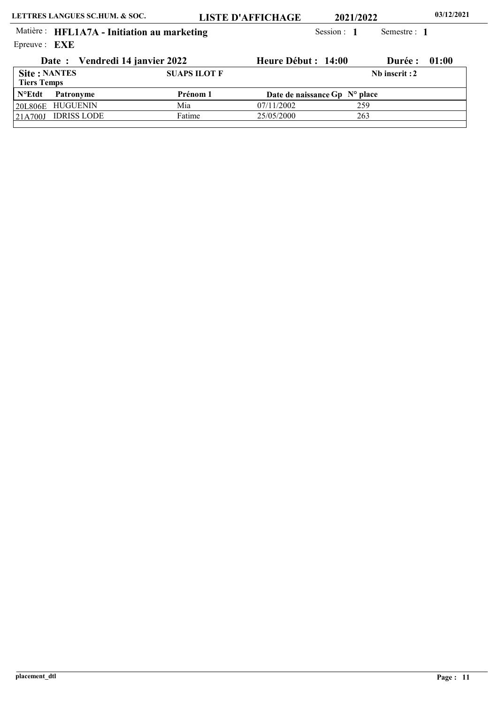21A700J IDRISS LODE

25/05/2000

263

Fatime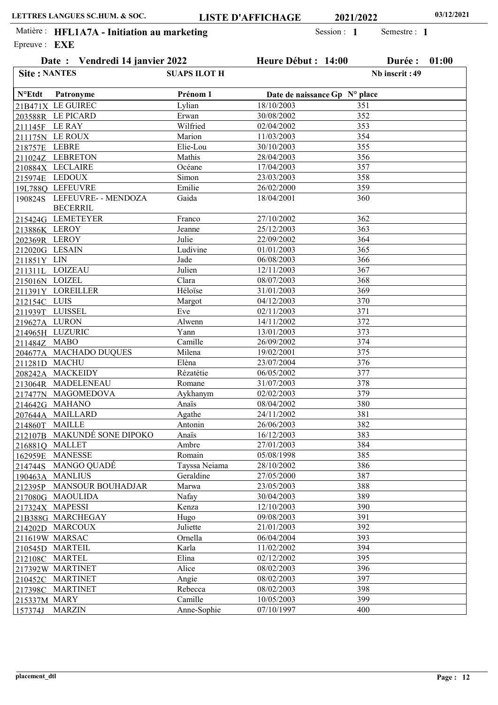| Date: Vendredi 14 janvier 2022 |                                        | Heure Début : 14:00 |                               | Durée : | 01:00          |  |
|--------------------------------|----------------------------------------|---------------------|-------------------------------|---------|----------------|--|
| <b>Site: NANTES</b>            |                                        | <b>SUAPS ILOT H</b> |                               |         | Nb inscrit: 49 |  |
| $N^{\circ}$ Etdt               | Patronyme                              | Prénom 1            | Date de naissance Gp N° place |         |                |  |
|                                | 21B471X LE GUIREC                      | Lylian              | 18/10/2003                    | 351     |                |  |
|                                | 203588R LE PICARD                      | Erwan               | 30/08/2002                    | 352     |                |  |
|                                | 211145F LE RAY                         | Wilfried            | 02/04/2002                    | 353     |                |  |
|                                | 211175N LE ROUX                        | Marion              | 11/03/2003                    | 354     |                |  |
| 218757E LEBRE                  |                                        | Elie-Lou            | 30/10/2003                    | 355     |                |  |
|                                | 211024Z LEBRETON                       | Mathis              | 28/04/2003                    | 356     |                |  |
|                                | 210884X LECLAIRE                       | Océane              | 17/04/2003                    | 357     |                |  |
|                                | 215974E_LEDOUX                         | Simon               | 23/03/2003                    | 358     |                |  |
|                                | 19L788Q LEFEUVRE                       | Emilie              | 26/02/2000                    | 359     |                |  |
| 190824S                        | LEFEUVRE- - MENDOZA<br><b>BECERRIL</b> | Gaida               | 18/04/2001                    | 360     |                |  |
|                                | 215424G LEMETEYER                      | Franco              | 27/10/2002                    | 362     |                |  |
| 213886K LEROY                  |                                        | Jeanne              | 25/12/2003                    | 363     |                |  |
| 202369R LEROY                  |                                        | Julie               | 22/09/2002                    | 364     |                |  |
|                                | 212020G LESAIN                         | Ludivine            | 01/01/2003                    | 365     |                |  |
| <u> 211851Y LIN</u>            |                                        | Jade                | 06/08/2003                    | 366     |                |  |
| 211311L                        | <b>LOIZEAU</b>                         | Julien              | 12/11/2003                    | 367     |                |  |
| 215016N LOIZEL                 |                                        | Clara               | 08/07/2003                    | 368     |                |  |
|                                | 211391Y LOREILLER                      | Héloïse             | 31/01/2003                    | 369     |                |  |
| 212154C_LUIS                   |                                        | Margot              | 04/12/2003                    | 370     |                |  |
|                                | 211939T LUISSEL                        | Eve                 | 02/11/2003                    | 371     |                |  |
| 219627A_LURON                  |                                        | Alwenn              | 14/11/2002                    | 372     |                |  |
|                                | 214965H_LUZURIC                        | Yann                | 13/01/2003                    | 373     |                |  |
| 211484Z MABO                   |                                        | Camille             | 26/09/2002                    | 374     |                |  |
| 204677A                        | <b>MACHADO DUQUES</b>                  | Milena              | 19/02/2001                    | 375     |                |  |
|                                | 211281D MACHU                          | Elèna               | 23/07/2004                    | 376     |                |  |
| 208242A                        | <b>MACKEIDY</b>                        | Rézatétie           | 06/05/2002                    | 377     |                |  |
|                                | 213064R MADELENEAU                     | Romane              | 31/07/2003                    | 378     |                |  |
| 217477N                        | MAGOMEDOVA                             | Aykhanym            | 02/02/2003                    | 379     |                |  |
|                                | 214642G MAHANO                         | Anaïs               | 08/04/2002                    | 380     |                |  |
| 207644A                        | <b>MAILLARD</b>                        | Agathe              | 24/11/2002                    | 381     |                |  |
| 214860T                        | MAILLE                                 | Antonin             | 26/06/2003                    | 382     |                |  |
|                                | 212107B MAKUNDÉ SONE DIPOKO            | Anaïs               | 16/12/2003                    | 383     |                |  |
| 216881Q                        | <b>MALLET</b>                          | Ambre               | 27/01/2003                    | 384     |                |  |
| 162959E                        | <b>MANESSE</b>                         | Romain              | 05/08/1998                    | 385     |                |  |
| 214744S                        | <b>MANGO QUADÉ</b>                     | Tayssa Neiama       | 28/10/2002                    | 386     |                |  |
| 190463A                        | <b>MANLIUS</b>                         | Geraldine           | 27/05/2000                    | 387     |                |  |
| 212395P                        | <b>MANSOUR BOUHADJAR</b>               | Marwa               | 23/05/2003                    | 388     |                |  |
| 217080G                        | <b>MAOULIDA</b>                        | Nafay               | 30/04/2003                    | 389     |                |  |
| 217324X                        | <b>MAPESSI</b>                         | Kenza               | 12/10/2003                    | 390     |                |  |
|                                | 21B388G MARCHEGAY                      | Hugo                | 09/08/2003                    | 391     |                |  |
| 214202D                        | <b>MARCOUX</b>                         | Juliette            | 21/01/2003                    | 392     |                |  |
|                                | 211619W_MARSAC                         | Ornella             | 06/04/2004                    | 393     |                |  |
| 210545D                        | <b>MARTEIL</b>                         | Karla               | 11/02/2002                    | 394     |                |  |
| 212108C                        | <b>MARTEL</b>                          | Elina               | 02/12/2002                    | 395     |                |  |
|                                | 217392W MARTINET                       | Alice               | 08/02/2003                    | 396     |                |  |
| 210452C                        | <b>MARTINET</b>                        | Angie               | 08/02/2003                    | 397     |                |  |
| 217398C                        | <b>MARTINET</b>                        | Rebecca             | 08/02/2003                    | 398     |                |  |
| 215337M                        | <b>MARY</b>                            | Camille             | 10/05/2003                    | 399     |                |  |
| 157374J                        | <b>MARZIN</b>                          | Anne-Sophie         | 07/10/1997                    | 400     |                |  |
|                                |                                        |                     |                               |         |                |  |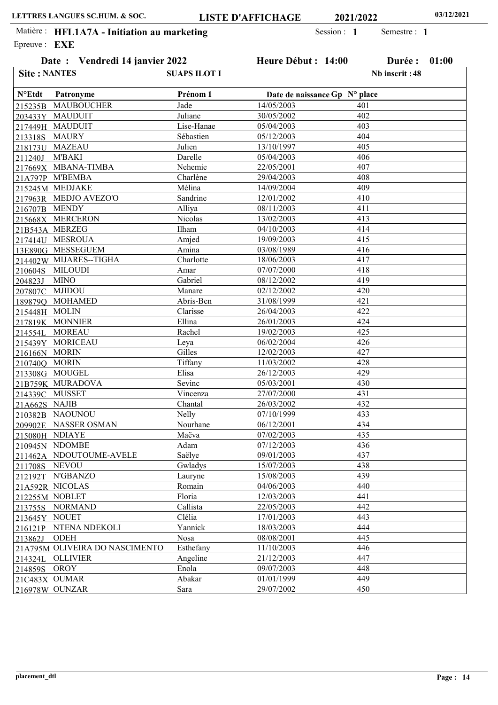| Date: Vendredi 14 janvier 2022 |                                | Heure Début : 14:00 |            | Durée :                       | 01:00          |  |
|--------------------------------|--------------------------------|---------------------|------------|-------------------------------|----------------|--|
| <b>Site: NANTES</b>            |                                | <b>SUAPS ILOT I</b> |            |                               | Nb inscrit: 48 |  |
| $N^{\circ}$ Etdt               | Patronyme                      | Prénom 1            |            | Date de naissance Gp N° place |                |  |
|                                | 215235B MAUBOUCHER             | Jade                | 14/05/2003 | 401                           |                |  |
|                                | 203433Y MAUDUIT                | Juliane             | 30/05/2002 | 402                           |                |  |
|                                | 217449H_MAUDUIT                | Lise-Hanae          | 05/04/2003 | 403                           |                |  |
| 213318S                        | MAURY                          | Sébastien           | 05/12/2003 | 404                           |                |  |
|                                | 218173U MAZEAU                 | Julien              | 13/10/1997 | 405                           |                |  |
| 211240J                        | <b>M'BAKI</b>                  | Darelle             | 05/04/2003 | 406                           |                |  |
|                                | 217669X MBANA-TIMBA            | Nehemie             | 22/05/2001 | 407                           |                |  |
|                                | 21A797P M'BEMBA                | Charlène            | 29/04/2003 | 408                           |                |  |
|                                | 215245M MEDJAKE                | Mélina              | 14/09/2004 | 409                           |                |  |
|                                | 217963R MEDJO AVEZO'O          | Sandrine            | 12/01/2002 | 410                           |                |  |
| 216707B MENDY                  |                                | Alliya              | 08/11/2003 | 411                           |                |  |
|                                | 215668X MERCERON               | Nicolas             | 13/02/2003 | 413                           |                |  |
|                                | 21B543A_MERZEG                 | Ilham               | 04/10/2003 | 414                           |                |  |
|                                | 217414U MESROUA                | Amjed               | 19/09/2003 | 415                           |                |  |
|                                | 13E890G MESSEGUEM              | Amina               | 03/08/1989 | 416                           |                |  |
|                                | 214402W MIJARES--TIGHA         | Charlotte           | 18/06/2003 | 417                           |                |  |
|                                | 210604S_MILOUDI                | Amar                | 07/07/2000 | 418                           |                |  |
| 204823J                        | <b>MINO</b>                    | Gabriel             | 08/12/2002 | 419                           |                |  |
|                                | 207807C MJIDOU                 | Manare              | 02/12/2002 | 420                           |                |  |
|                                | 189879Q MOHAMED                | Abris-Ben           | 31/08/1999 | 421                           |                |  |
| 215448H_MOLIN                  |                                | Clarisse            | 26/04/2003 | 422                           |                |  |
|                                | 217819K MONNIER                | Ellina              | 26/01/2003 | 424                           |                |  |
| 214554L                        | <b>MOREAU</b>                  | Rachel              | 19/02/2003 | 425                           |                |  |
|                                | 215439Y MORICEAU               | Leya                | 06/02/2004 | 426                           |                |  |
| 216166N MORIN                  |                                | Gilles              | 12/02/2003 | 427                           |                |  |
| 210740Q MORIN                  |                                | Tiffany             | 11/03/2002 | 428                           |                |  |
|                                | 213308G_MOUGEL                 | Elisa               | 26/12/2003 | 429                           |                |  |
|                                | 21B759K MURADOVA               | Sevinc              | 05/03/2001 | 430                           |                |  |
|                                | 214339C MUSSET                 | Vincenza            | 27/07/2000 | 431                           |                |  |
| 21A662S NAJIB                  |                                | Chantal             | 26/03/2002 | 432                           |                |  |
|                                | 210382B NAOUNOU                | Nelly               | 07/10/1999 | 433                           |                |  |
|                                | 209902E NASSER OSMAN           | Nourhane            | 06/12/2001 | 434                           |                |  |
|                                | 215080H NDIAYE                 | Maëva               | 07/02/2003 | 435                           |                |  |
|                                | 210945N NDOMBE                 | Adam                | 07/12/2003 | 436                           |                |  |
|                                | 211462A NDOUTOUME-AVELE        | Saëlye              | 09/01/2003 | 437                           |                |  |
| 211708S                        | <b>NEVOU</b>                   | Gwladys             | 15/07/2003 | 438                           |                |  |
| 212192T                        | N'GBANZO                       | Lauryne             | 15/08/2003 | 439                           |                |  |
|                                | 21A592R NICOLAS                | Romain              | 04/06/2003 | 440                           |                |  |
|                                | 212255M NOBLET                 | Floria              | 12/03/2003 | 441                           |                |  |
|                                | 213755S NORMAND                | Callista            | 22/05/2003 | 442                           |                |  |
| 213645Y NOUET                  |                                | Clélia              | 17/01/2003 | 443                           |                |  |
|                                | 216121P NTENA NDEKOLI          | Yannick             | 18/03/2003 | 444                           |                |  |
| 213862J                        | <b>ODEH</b>                    | Nosa                | 08/08/2001 | 445                           |                |  |
|                                | 21A795M OLIVEIRA DO NASCIMENTO | Esthefany           | 11/10/2003 | 446                           |                |  |
|                                | 214324L OLLIVIER               | Angeline            | 21/12/2003 | 447                           |                |  |
| 214859S                        | OROY                           | Enola               | 09/07/2003 | 448                           |                |  |
|                                | 21C483X OUMAR                  | Abakar              | 01/01/1999 | 449                           |                |  |
|                                | 216978W OUNZAR                 | Sara                | 29/07/2002 | 450                           |                |  |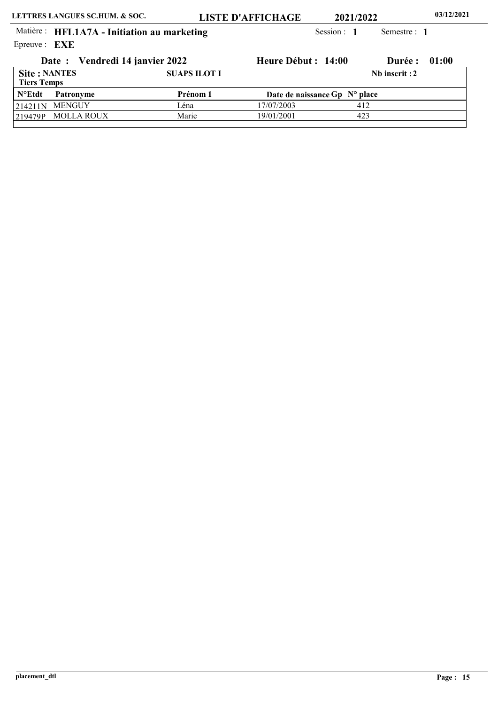219479P MOLLA ROUX

19/01/2001

423

Marie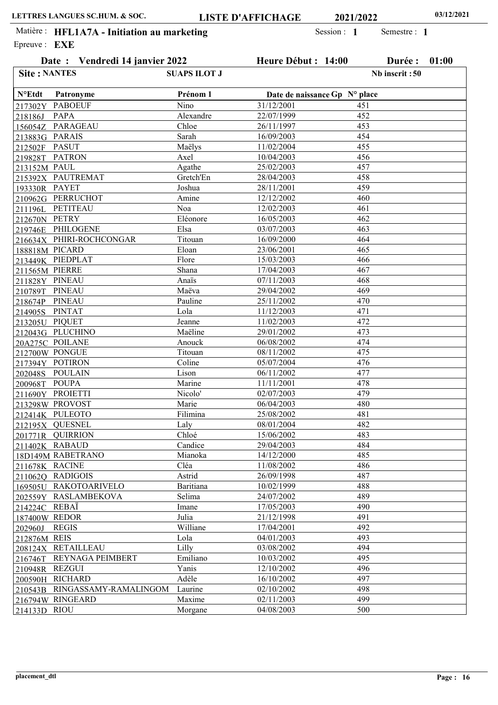Date : Vendredi 14 janvier 2022 Heure Début : 14:00 Durée : 01:00

Nb inscrit :50

Semestre : 1

Epreuve : **EXE** Matière : HFL1A7A - Initiation au marketing Session : 1

Site : NANTES SUAPS ILOT J

| <b>N°Etdt</b>  | Patronyme                     | Prénom 1         | Date de naissance Gp N° place |     |  |
|----------------|-------------------------------|------------------|-------------------------------|-----|--|
| 217302Y        | <b>PABOEUF</b>                | Nino             | 31/12/2001                    | 451 |  |
| 218186J        | <b>PAPA</b>                   | Alexandre        | 22/07/1999                    | 452 |  |
|                | 156054Z PARAGEAU              | Chloe            | 26/11/1997                    | 453 |  |
| 213883G PARAIS |                               | Sarah            | 16/09/2003                    | 454 |  |
| 212502F PASUT  |                               | Maëlys           | 11/02/2004                    | 455 |  |
|                | 219828T PATRON                | Axel             | 10/04/2003                    | 456 |  |
| 213152M PAUL   |                               | Agathe           | 25/02/2003                    | 457 |  |
|                | 215392X PAUTREMAT             | Gretch'En        | 28/04/2003                    | 458 |  |
| 193330R PAYET  |                               | Joshua           | 28/11/2001                    | 459 |  |
|                | 210962G PERRUCHOT             | Amine            | $\overline{12}/12/2002$       | 460 |  |
|                | 211196L PETITEAU              | Noa              | 12/02/2003                    | 461 |  |
| 212670N PETRY  |                               | Eléonore         | 16/05/2003                    | 462 |  |
|                | 219746E PHILOGENE             | Elsa             | 03/07/2003                    | 463 |  |
|                | 216634X PHIRI-ROCHCONGAR      | Titouan          | 16/09/2000                    | 464 |  |
| 188818M PICARD |                               | Eloan            | 23/06/2001                    | 465 |  |
|                | 213449K PIEDPLAT              | Flore            | 15/03/2003                    | 466 |  |
| 211565M PIERRE |                               | Shana            | 17/04/2003                    | 467 |  |
| 211828Y PINEAU |                               | Anaïs            | 07/11/2003                    | 468 |  |
| 210789T PINEAU |                               | Maëva            | 29/04/2002                    | 469 |  |
| 218674P PINEAU |                               | Pauline          | 25/11/2002                    | 470 |  |
| 214905S PINTAT |                               | Lola             | 11/12/2003                    | 471 |  |
| 213205U PIQUET |                               | Jeanne           | 11/02/2003                    | 472 |  |
|                | 212043G PLUCHINO              | Maëline          | 29/01/2002                    | 473 |  |
|                | 20A275C POILANE               | Anouck           | 06/08/2002                    | 474 |  |
|                | 212700W PONGUE                | Titouan          | 08/11/2002                    | 475 |  |
|                | 217394Y POTIRON               | Coline           | 05/07/2004                    | 476 |  |
|                | 202048S POULAIN               | Lison            | 06/11/2002                    | 477 |  |
| 200968T POUPA  |                               | Marine           | 11/11/2001                    | 478 |  |
|                | 211690Y PROIETTI              | Nicolo'          | 02/07/2003                    | 479 |  |
|                | 213298W PROVOST               | Marie            | 06/04/2003                    | 480 |  |
|                | 212414K PULEOTO               | Filimina         | 25/08/2002                    | 481 |  |
|                | 212195X QUESNEL               | Laly             | 08/01/2004                    | 482 |  |
|                | 201771R QUIRRION              | Chloé            | 15/06/2002                    | 483 |  |
|                | 211402K RABAUD                | Candice          | 29/04/2003                    | 484 |  |
|                | 18D149M RABETRANO             | Mianoka          | 14/12/2000                    | 485 |  |
| 211678K RACINE |                               | Cléa             | 11/08/2002                    | 486 |  |
|                | 211062Q RADIGOIS              | Astrid           | 26/09/1998                    | 487 |  |
|                | 169505U RAKOTOARIVELO         | <b>Baritiana</b> | 10/02/1999                    | 488 |  |
|                | 202559Y RASLAMBEKOVA          | Selima           | 24/07/2002                    | 489 |  |
| 214224C REBAÏ  |                               | Imane            | 17/05/2003                    | 490 |  |
| 187400W REDOR  |                               | Julia            | 21/12/1998                    | 491 |  |
|                | <b>REGIS</b>                  | Williane         | 17/04/2001                    | 492 |  |
| 202960J        |                               | Lola             | 04/01/2003                    | 493 |  |
| 212876M REIS   |                               |                  |                               |     |  |
|                | 208124X_RETAILLEAU            | Lilly            | 03/08/2002                    | 494 |  |
| 216746T        | REYNAGA PEIMBERT              | Emiliano         | 10/03/2002                    | 495 |  |
| 210948R REZGUI |                               | Yanis            | 12/10/2002                    | 496 |  |
|                | 200590H RICHARD               | Adèle            | 16/10/2002                    | 497 |  |
|                | 210543B RINGASSAMY-RAMALINGOM | Laurine          | 02/10/2002                    | 498 |  |
|                | 216794W RINGEARD              | Maxime           | 02/11/2003                    | 499 |  |
| 214133D RIOU   |                               | Morgane          | 04/08/2003                    | 500 |  |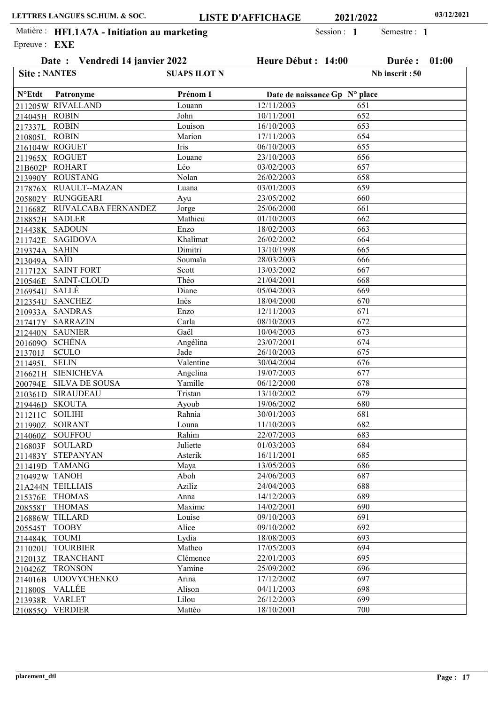|                     | Date: Vendredi 14 janvier 2022 |                     | Heure Début : 14:00 |                               | Durée :        | 01:00 |
|---------------------|--------------------------------|---------------------|---------------------|-------------------------------|----------------|-------|
| <b>Site: NANTES</b> |                                | <b>SUAPS ILOT N</b> |                     |                               | Nb inscrit: 50 |       |
| <b>N°Etdt</b>       | Patronyme                      | Prénom 1            |                     | Date de naissance Gp N° place |                |       |
|                     | 211205W RIVALLAND              | Louann              | 12/11/2003          | 651                           |                |       |
| 214045H ROBIN       |                                | John                | 10/11/2001          | 652                           |                |       |
| 217337L ROBIN       |                                | Louison             | 16/10/2003          | 653                           |                |       |
| 210805L             | <b>ROBIN</b>                   | Marion              | 17/11/2003          | 654                           |                |       |
|                     | 216104W ROGUET                 | Iris                | 06/10/2003          | 655                           |                |       |
|                     | 211965X ROGUET                 | Louane              | 23/10/2003          | 656                           |                |       |
|                     | 21B602P ROHART                 | Léo                 | 03/02/2003          | 657                           |                |       |
|                     | 213990Y ROUSTANG               | Nolan               | 26/02/2003          | 658                           |                |       |
|                     | 217876X RUAULT--MAZAN          | Luana               | 03/01/2003          | 659                           |                |       |
|                     | 205802Y RUNGGEARI              | Ayu                 | 23/05/2002          | 660                           |                |       |
|                     | 211668Z RUVALCABA FERNANDEZ    | Jorge               | 25/06/2000          | 661                           |                |       |
|                     | 218852H SADLER                 | Mathieu             | 01/10/2003          | 662                           |                |       |
|                     | 214438K SADOUN                 | Enzo                | 18/02/2003          | 663                           |                |       |
|                     | 211742E SAGIDOVA               | Khalimat            | 26/02/2002          | 664                           |                |       |
| 219374A SAHIN       |                                | Dimitri             | 13/10/1998          | 665                           |                |       |
| 213049A             | SAÏD                           | Soumaïa             | 28/03/2003          | 666                           |                |       |
|                     | 211712X SAINT FORT             | Scott               | 13/03/2002          | 667                           |                |       |
| 210546E             | <b>SAINT-CLOUD</b>             | Théo                | 21/04/2001          | 668                           |                |       |
| 216954U             | <b>SALLÉ</b>                   | Diane               | 05/04/2003          | 669                           |                |       |
|                     | 212354U SANCHEZ                | Inès                | 18/04/2000          | 670                           |                |       |
|                     | 210933A SANDRAS                | Enzo                | 12/11/2003          | 671                           |                |       |
|                     | 217417Y SARRAZIN               | Carla               | 08/10/2003          | 672                           |                |       |
|                     | 212440N SAUNIER                | Gaël                | 10/04/2003          | 673                           |                |       |
|                     | 201609Q SCHÉNA                 | Angélina            | 23/07/2001          | 674                           |                |       |
| 213701J             | <b>SCULO</b>                   | Jade                | 26/10/2003          | 675                           |                |       |
| 211495L             | <b>SELIN</b>                   | Valentine           | 30/04/2004          | 676                           |                |       |
|                     | 216621H SIENICHEVA             | Angelina            | 19/07/2003          | 677                           |                |       |
| 200794E             | <b>SILVA DE SOUSA</b>          | Yamille             | 06/12/2000          | 678                           |                |       |
| 210361D             | <b>SIRAUDEAU</b>               | Tristan             | 13/10/2002          | 679                           |                |       |
| 219446D             | SKOUTA                         | Ayoub               | 19/06/2002          | 680                           |                |       |
| 211211C SOILIHI     |                                | Rahnia              | 30/01/2003          | 681                           |                |       |
|                     | 211990Z SOIRANT                | Louna               | 11/10/2003          | 682                           |                |       |
|                     | 214060Z SOUFFOU                | Rahim               | 22/07/2003          | 683                           |                |       |
| 216803F             | <b>SOULARD</b>                 | Juliette            | 01/03/2003          | 684                           |                |       |
|                     | 211483Y STEPANYAN              | Asterik             | 16/11/2001          | 685                           |                |       |
|                     | 211419D TAMANG                 | Maya                | 13/05/2003          | 686                           |                |       |
| 210492W TANOH       |                                | Aboh                | 24/06/2003          | 687                           |                |       |
|                     | 21A244N TEILLIAIS              | Aziliz              | 24/04/2003          | 688                           |                |       |
| 215376E             | <b>THOMAS</b>                  | Anna                | 14/12/2003          | 689                           |                |       |
| 208558T             | <b>THOMAS</b>                  | Maxime              | 14/02/2001          | 690                           |                |       |
|                     | 216886W TILLARD                | Louise              | 09/10/2003          | 691                           |                |       |
|                     | <b>TOOBY</b>                   | Alice               | 09/10/2002          | 692                           |                |       |
| 205545T             |                                | Lydia               | 18/08/2003          | 693                           |                |       |
| 214484K TOUMI       | 211020U TOURBIER               | Matheo              | 17/05/2003          | 694                           |                |       |
|                     | 212013Z TRANCHANT              | Clémence            | 22/01/2003          | 695                           |                |       |
|                     | <b>TRONSON</b>                 | Yamine              | 25/09/2002          | 696                           |                |       |
| 210426Z             |                                | Arina               | 17/12/2002          | 697                           |                |       |
|                     | 214016B UDOVYCHENKO            |                     |                     |                               |                |       |
| 211800S             | <b>VALLÉE</b>                  | Alison              | 04/11/2003          | 698                           |                |       |
|                     | 213938R VARLET                 | Lilou               | 26/12/2003          | 699                           |                |       |
| 210855Q             | <b>VERDIER</b>                 | Mattéo              | 18/10/2001          | 700                           |                |       |